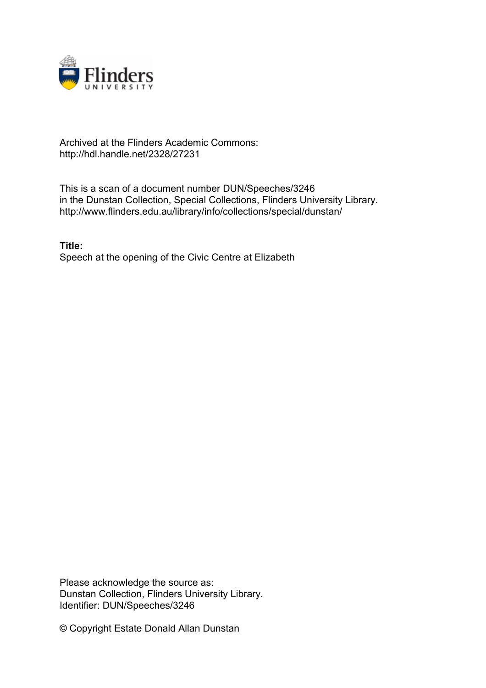

## Archived at the Flinders Academic Commons: http://hdl.handle.net/2328/27231

This is a scan of a document number DUN/Speeches/3246 in the Dunstan Collection, Special Collections, Flinders University Library. http://www.flinders.edu.au/library/info/collections/special/dunstan/

**Title:** Speech at the opening of the Civic Centre at Elizabeth

Please acknowledge the source as: Dunstan Collection, Flinders University Library. Identifier: DUN/Speeches/3246

© Copyright Estate Donald Allan Dunstan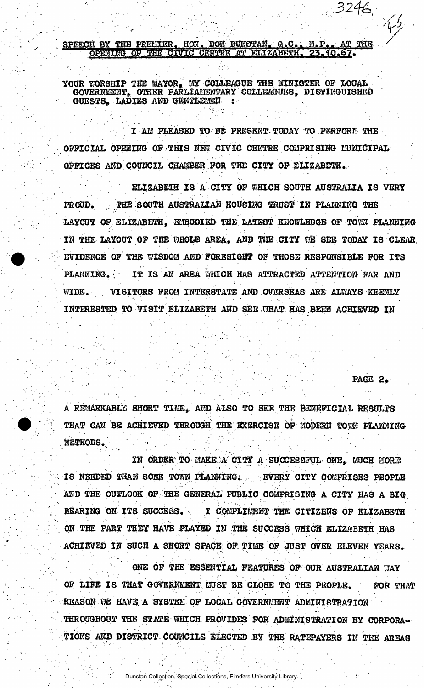## SPEECH BY THE PREMIER. HON. DON DUNSTAN. Q.C.. M.P.. AT THE OPENING OF THE CIVIC CENTRE AT ELIZABETH. 23.10.67.

YOUR WORSHIP THE MAYOR, MY COLLEAGUE THE MINISTER OF LOCAL GOVERNMENT, OTHER PARLIAMENTARY COLLEAGUES, DISTINGUISHED GUESTS. LADIES AND GENTLEMEN :

I AM PLEASED TO BE PRESENT TODAY TO PERFORM THE OFFICIAL OPENING OF THIS NEW CIVIC CENTRE COMPRISING MUNICIPAL OFFICES AND COUNCIL CHANBER FOR THE CITY OF ELIZABETH.

ELIZABETH IS A CITY OF WHICH SOUTH AUSTRALIA IS VERY PROUD. THE SOUTH AUSTRALIAN HOUSING TRUST IN PLANNING THE LAYOUT OF ELIZABETH, EMBODIED THE LATEST KNOWLEDGE OF TOWN PLANNING IN THE LAYOUT OF THE WHOLE AREA, AND THE CITY WE SEE TODAY IS CLEAR EVIDENCE OF THE WISDOM AND FORESIGHT OF THOSE RESPONSIBLE FOR ITS PLANNING. IT IS AN AREA WHICH HAS ATTRACTED ATTENTION FAR AND WIDE. . VISITORS FROM INTERSTATE AND OVERSEAS ARE ALWAY8 KEENLY INTERESTED TO VISIT ELIZABETH AND SEE WHAT HAS BEEN ACHIEVED IN

**PAGE 2.** 

 $\mathcal{L}$ */* 

 $3246$  .

*6.-* /

A REMARKABLY SHORT TIME. AND ALSO TO SEE THE BENEFICIAL RESULTS THAT CAN BE ACHIEVED THROUGH THE EXERCISE OF MODERN TOWN PLANNING METHODS.

IN ORDER TO MAKE A CITY A SUCCESSFUL-ONE, MUCH MORE IS NEEDED THAN SOME TOWN PLANNING. . . EVERY CITY COMPRISES PEOPLE AND THE OUTLOOK OF THE GENERAL PUBLIC COMPRISING A CITY HAS A BIG BEARING ON ITS SUCCESS. I COMPLIMENT THE CITIZENS OF ELIZABETH ON THE PART THEY HAVE PLAYED IN THE SUCCESS WHICH ELIZABETH HAS ACHIEVED IN SUCH A SHORT SPACE OF. TIME OF JUST OVER ELEVEN YEARS.

ONE OF THE ESSENTIAL FEATURES OF OUR AUSTRALIAN UAY OF LIFE IS THAT GOVERNMENT LUST BE CLOSE TO THE PEOPLE. FOR THAT REASON WE HAVE A SYSTEM OF LOCAL GOVERNMENT ADMINISTRATION THROUGHOUT THE STATE WHICH PROVIDES FOR ADMINISTRATION BY CORPORA-TIONS AND DISTRICT COUNCILS ELECTED BY THE RATEPAYERS IN THE AREAS

Dunstan Collection, Special Collections, Flinders University Library.